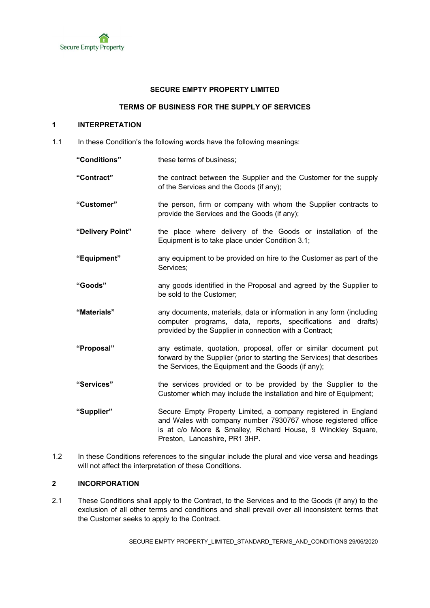#### **SECURE EMPTY PROPERTY LIMITED**

### **TERMS OF BUSINESS FOR THE SUPPLY OF SERVICES**

## **1 INTERPRETATION**

1.1 In these Condition's the following words have the following meanings:

**"Conditions"** these terms of business; **"Contract"** the contract between the Supplier and the Customer for the supply of the Services and the Goods (if any); **"Customer"** the person, firm or company with whom the Supplier contracts to provide the Services and the Goods (if any); **"Delivery Point"** the place where delivery of the Goods or installation of the Equipment is to take place under Condition 3.1; **"Equipment"** any equipment to be provided on hire to the Customer as part of the Services; **"Goods"** any goods identified in the Proposal and agreed by the Supplier to be sold to the Customer; **"Materials"** any documents, materials, data or information in any form (including computer programs, data, reports, specifications and drafts) provided by the Supplier in connection with a Contract; **"Proposal"** any estimate, quotation, proposal, offer or similar document put forward by the Supplier (prior to starting the Services) that describes the Services, the Equipment and the Goods (if any); **"Services"** the services provided or to be provided by the Supplier to the Customer which may include the installation and hire of Equipment; **"Supplier"** Secure Empty Property Limited, a company registered in England and Wales with company number 7930767 whose registered office is at c/o Moore & Smalley, Richard House, 9 Winckley Square, Preston, Lancashire, PR1 3HP.

1.2 In these Conditions references to the singular include the plural and vice versa and headings will not affect the interpretation of these Conditions.

# **2 INCORPORATION**

2.1 These Conditions shall apply to the Contract, to the Services and to the Goods (if any) to the exclusion of all other terms and conditions and shall prevail over all inconsistent terms that the Customer seeks to apply to the Contract.

SECURE EMPTY PROPERTY\_LIMITED\_STANDARD\_TERMS\_AND\_CONDITIONS 29/06/2020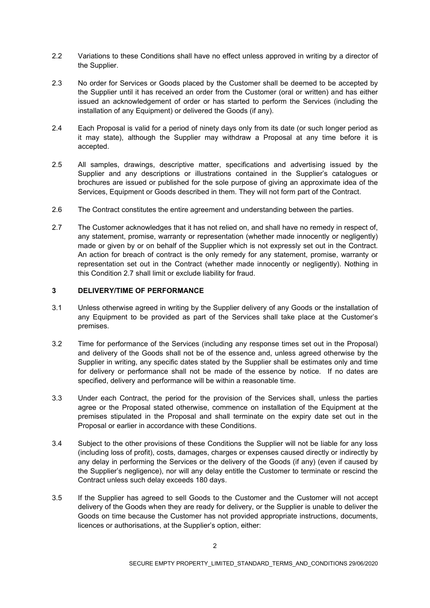- 2.2 Variations to these Conditions shall have no effect unless approved in writing by a director of the Supplier.
- 2.3 No order for Services or Goods placed by the Customer shall be deemed to be accepted by the Supplier until it has received an order from the Customer (oral or written) and has either issued an acknowledgement of order or has started to perform the Services (including the installation of any Equipment) or delivered the Goods (if any).
- 2.4 Each Proposal is valid for a period of ninety days only from its date (or such longer period as it may state), although the Supplier may withdraw a Proposal at any time before it is accepted.
- 2.5 All samples, drawings, descriptive matter, specifications and advertising issued by the Supplier and any descriptions or illustrations contained in the Supplier's catalogues or brochures are issued or published for the sole purpose of giving an approximate idea of the Services, Equipment or Goods described in them. They will not form part of the Contract.
- 2.6 The Contract constitutes the entire agreement and understanding between the parties.
- 2.7 The Customer acknowledges that it has not relied on, and shall have no remedy in respect of, any statement, promise, warranty or representation (whether made innocently or negligently) made or given by or on behalf of the Supplier which is not expressly set out in the Contract. An action for breach of contract is the only remedy for any statement, promise, warranty or representation set out in the Contract (whether made innocently or negligently). Nothing in this Condition 2.7 shall limit or exclude liability for fraud.

### **3 DELIVERY/TIME OF PERFORMANCE**

- 3.1 Unless otherwise agreed in writing by the Supplier delivery of any Goods or the installation of any Equipment to be provided as part of the Services shall take place at the Customer's premises.
- 3.2 Time for performance of the Services (including any response times set out in the Proposal) and delivery of the Goods shall not be of the essence and, unless agreed otherwise by the Supplier in writing, any specific dates stated by the Supplier shall be estimates only and time for delivery or performance shall not be made of the essence by notice. If no dates are specified, delivery and performance will be within a reasonable time.
- 3.3 Under each Contract, the period for the provision of the Services shall, unless the parties agree or the Proposal stated otherwise, commence on installation of the Equipment at the premises stipulated in the Proposal and shall terminate on the expiry date set out in the Proposal or earlier in accordance with these Conditions.
- 3.4 Subject to the other provisions of these Conditions the Supplier will not be liable for any loss (including loss of profit), costs, damages, charges or expenses caused directly or indirectly by any delay in performing the Services or the delivery of the Goods (if any) (even if caused by the Supplier's negligence), nor will any delay entitle the Customer to terminate or rescind the Contract unless such delay exceeds 180 days.
- 3.5 If the Supplier has agreed to sell Goods to the Customer and the Customer will not accept delivery of the Goods when they are ready for delivery, or the Supplier is unable to deliver the Goods on time because the Customer has not provided appropriate instructions, documents, licences or authorisations, at the Supplier's option, either: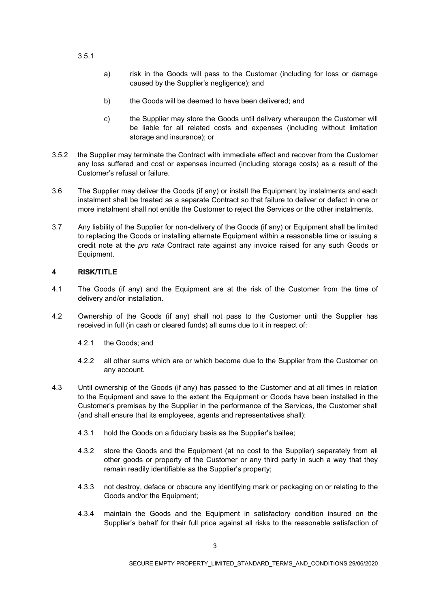### 3.5.1

- a) risk in the Goods will pass to the Customer (including for loss or damage caused by the Supplier's negligence); and
- b) the Goods will be deemed to have been delivered; and
- c) the Supplier may store the Goods until delivery whereupon the Customer will be liable for all related costs and expenses (including without limitation storage and insurance); or
- 3.5.2 the Supplier may terminate the Contract with immediate effect and recover from the Customer any loss suffered and cost or expenses incurred (including storage costs) as a result of the Customer's refusal or failure.
- 3.6 The Supplier may deliver the Goods (if any) or install the Equipment by instalments and each instalment shall be treated as a separate Contract so that failure to deliver or defect in one or more instalment shall not entitle the Customer to reject the Services or the other instalments.
- 3.7 Any liability of the Supplier for non-delivery of the Goods (if any) or Equipment shall be limited to replacing the Goods or installing alternate Equipment within a reasonable time or issuing a credit note at the *pro rata* Contract rate against any invoice raised for any such Goods or Equipment.

# **4 RISK/TITLE**

- 4.1 The Goods (if any) and the Equipment are at the risk of the Customer from the time of delivery and/or installation.
- 4.2 Ownership of the Goods (if any) shall not pass to the Customer until the Supplier has received in full (in cash or cleared funds) all sums due to it in respect of:
	- 4.2.1 the Goods; and
	- 4.2.2 all other sums which are or which become due to the Supplier from the Customer on any account.
- 4.3 Until ownership of the Goods (if any) has passed to the Customer and at all times in relation to the Equipment and save to the extent the Equipment or Goods have been installed in the Customer's premises by the Supplier in the performance of the Services, the Customer shall (and shall ensure that its employees, agents and representatives shall):
	- 4.3.1 hold the Goods on a fiduciary basis as the Supplier's bailee;
	- 4.3.2 store the Goods and the Equipment (at no cost to the Supplier) separately from all other goods or property of the Customer or any third party in such a way that they remain readily identifiable as the Supplier's property;
	- 4.3.3 not destroy, deface or obscure any identifying mark or packaging on or relating to the Goods and/or the Equipment;
	- 4.3.4 maintain the Goods and the Equipment in satisfactory condition insured on the Supplier's behalf for their full price against all risks to the reasonable satisfaction of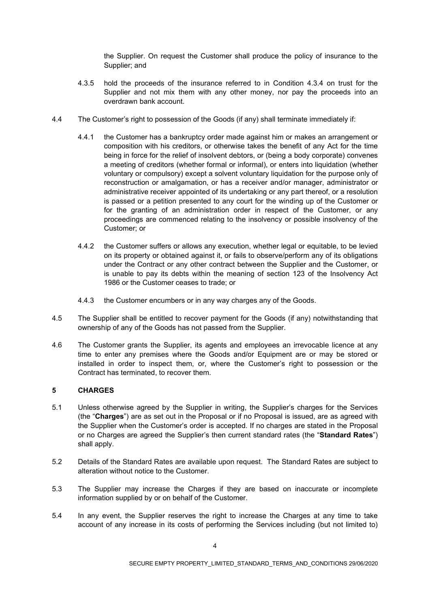the Supplier. On request the Customer shall produce the policy of insurance to the Supplier; and

- 4.3.5 hold the proceeds of the insurance referred to in Condition 4.3.4 on trust for the Supplier and not mix them with any other money, nor pay the proceeds into an overdrawn bank account.
- 4.4 The Customer's right to possession of the Goods (if any) shall terminate immediately if:
	- 4.4.1 the Customer has a bankruptcy order made against him or makes an arrangement or composition with his creditors, or otherwise takes the benefit of any Act for the time being in force for the relief of insolvent debtors, or (being a body corporate) convenes a meeting of creditors (whether formal or informal), or enters into liquidation (whether voluntary or compulsory) except a solvent voluntary liquidation for the purpose only of reconstruction or amalgamation, or has a receiver and/or manager, administrator or administrative receiver appointed of its undertaking or any part thereof, or a resolution is passed or a petition presented to any court for the winding up of the Customer or for the granting of an administration order in respect of the Customer, or any proceedings are commenced relating to the insolvency or possible insolvency of the Customer; or
	- 4.4.2 the Customer suffers or allows any execution, whether legal or equitable, to be levied on its property or obtained against it, or fails to observe/perform any of its obligations under the Contract or any other contract between the Supplier and the Customer, or is unable to pay its debts within the meaning of section 123 of the Insolvency Act 1986 or the Customer ceases to trade; or
	- 4.4.3 the Customer encumbers or in any way charges any of the Goods.
- 4.5 The Supplier shall be entitled to recover payment for the Goods (if any) notwithstanding that ownership of any of the Goods has not passed from the Supplier.
- 4.6 The Customer grants the Supplier, its agents and employees an irrevocable licence at any time to enter any premises where the Goods and/or Equipment are or may be stored or installed in order to inspect them, or, where the Customer's right to possession or the Contract has terminated, to recover them.

## **5 CHARGES**

- 5.1 Unless otherwise agreed by the Supplier in writing, the Supplier's charges for the Services (the "**Charges**") are as set out in the Proposal or if no Proposal is issued, are as agreed with the Supplier when the Customer's order is accepted. If no charges are stated in the Proposal or no Charges are agreed the Supplier's then current standard rates (the "**Standard Rates**") shall apply.
- 5.2 Details of the Standard Rates are available upon request. The Standard Rates are subject to alteration without notice to the Customer.
- 5.3 The Supplier may increase the Charges if they are based on inaccurate or incomplete information supplied by or on behalf of the Customer.
- 5.4 In any event, the Supplier reserves the right to increase the Charges at any time to take account of any increase in its costs of performing the Services including (but not limited to)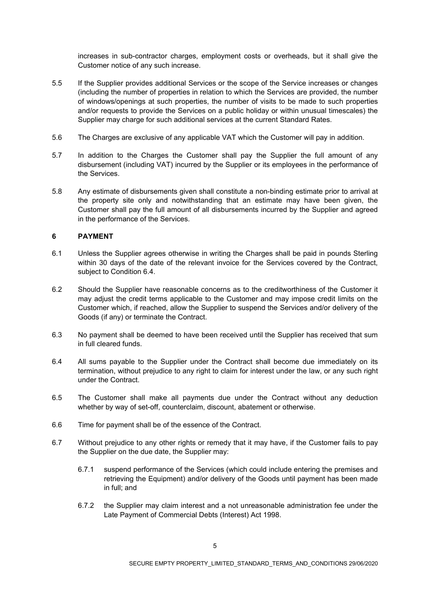increases in sub-contractor charges, employment costs or overheads, but it shall give the Customer notice of any such increase.

- 5.5 If the Supplier provides additional Services or the scope of the Service increases or changes (including the number of properties in relation to which the Services are provided, the number of windows/openings at such properties, the number of visits to be made to such properties and/or requests to provide the Services on a public holiday or within unusual timescales) the Supplier may charge for such additional services at the current Standard Rates.
- 5.6 The Charges are exclusive of any applicable VAT which the Customer will pay in addition.
- 5.7 In addition to the Charges the Customer shall pay the Supplier the full amount of any disbursement (including VAT) incurred by the Supplier or its employees in the performance of the Services.
- 5.8 Any estimate of disbursements given shall constitute a non-binding estimate prior to arrival at the property site only and notwithstanding that an estimate may have been given, the Customer shall pay the full amount of all disbursements incurred by the Supplier and agreed in the performance of the Services.

### **6 PAYMENT**

- 6.1 Unless the Supplier agrees otherwise in writing the Charges shall be paid in pounds Sterling within 30 days of the date of the relevant invoice for the Services covered by the Contract, subject to Condition 6.4.
- 6.2 Should the Supplier have reasonable concerns as to the creditworthiness of the Customer it may adjust the credit terms applicable to the Customer and may impose credit limits on the Customer which, if reached, allow the Supplier to suspend the Services and/or delivery of the Goods (if any) or terminate the Contract.
- 6.3 No payment shall be deemed to have been received until the Supplier has received that sum in full cleared funds.
- 6.4 All sums payable to the Supplier under the Contract shall become due immediately on its termination, without prejudice to any right to claim for interest under the law, or any such right under the Contract.
- 6.5 The Customer shall make all payments due under the Contract without any deduction whether by way of set-off, counterclaim, discount, abatement or otherwise.
- 6.6 Time for payment shall be of the essence of the Contract.
- 6.7 Without prejudice to any other rights or remedy that it may have, if the Customer fails to pay the Supplier on the due date, the Supplier may:
	- 6.7.1 suspend performance of the Services (which could include entering the premises and retrieving the Equipment) and/or delivery of the Goods until payment has been made in full; and
	- 6.7.2 the Supplier may claim interest and a not unreasonable administration fee under the Late Payment of Commercial Debts (Interest) Act 1998.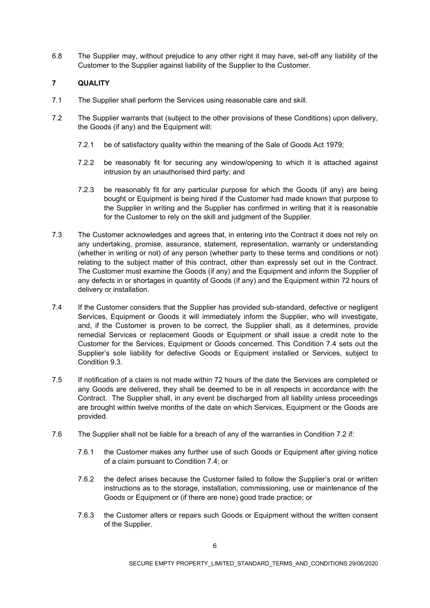6.8 The Supplier may, without prejudice to any other right it may have, set-off any liability of the Customer to the Supplier against liability of the Supplier to the Customer.

# **7 QUALITY**

- 7.1 The Supplier shall perform the Services using reasonable care and skill.
- 7.2 The Supplier warrants that (subject to the other provisions of these Conditions) upon delivery, the Goods (if any) and the Equipment will:
	- 7.2.1 be of satisfactory quality within the meaning of the Sale of Goods Act 1979;
	- 7.2.2 be reasonably fit for securing any window/opening to which it is attached against intrusion by an unauthorised third party; and
	- 7.2.3 be reasonably fit for any particular purpose for which the Goods (if any) are being bought or Equipment is being hired if the Customer had made known that purpose to the Supplier in writing and the Supplier has confirmed in writing that it is reasonable for the Customer to rely on the skill and judgment of the Supplier.
- 7.3 The Customer acknowledges and agrees that, in entering into the Contract it does not rely on any undertaking, promise, assurance, statement, representation, warranty or understanding (whether in writing or not) of any person (whether party to these terms and conditions or not) relating to the subject matter of this contract, other than expressly set out in the Contract. The Customer must examine the Goods (if any) and the Equipment and inform the Supplier of any defects in or shortages in quantity of Goods (if any) and the Equipment within 72 hours of delivery or installation.
- 7.4 If the Customer considers that the Supplier has provided sub-standard, defective or negligent Services, Equipment or Goods it will immediately inform the Supplier, who will investigate, and, if the Customer is proven to be correct, the Supplier shall, as it determines, provide remedial Services or replacement Goods or Equipment or shall issue a credit note to the Customer for the Services, Equipment or Goods concerned. This Condition 7.4 sets out the Supplier's sole liability for defective Goods or Equipment installed or Services, subject to Condition 9.3.
- 7.5 If notification of a claim is not made within 72 hours of the date the Services are completed or any Goods are delivered, they shall be deemed to be in all respects in accordance with the Contract. The Supplier shall, in any event be discharged from all liability unless proceedings are brought within twelve months of the date on which Services, Equipment or the Goods are provided.
- 7.6 The Supplier shall not be liable for a breach of any of the warranties in Condition 7.2 if:
	- 7.6.1 the Customer makes any further use of such Goods or Equipment after giving notice of a claim pursuant to Condition 7.4; or
	- 7.6.2 the defect arises because the Customer failed to follow the Supplier's oral or written instructions as to the storage, installation, commissioning, use or maintenance of the Goods or Equipment or (if there are none) good trade practice; or
	- 7.6.3 the Customer alters or repairs such Goods or Equipment without the written consent of the Supplier.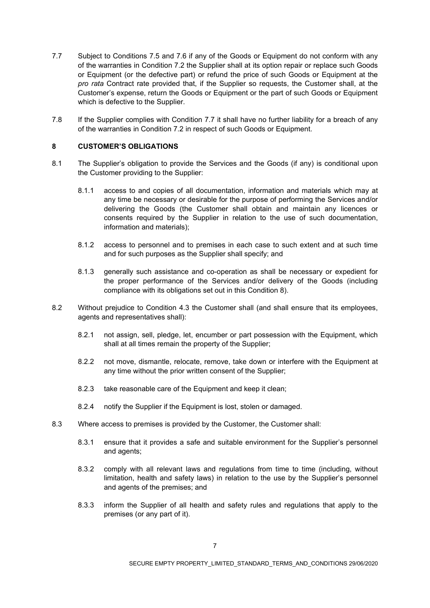- 7.7 Subject to Conditions 7.5 and 7.6 if any of the Goods or Equipment do not conform with any of the warranties in Condition 7.2 the Supplier shall at its option repair or replace such Goods or Equipment (or the defective part) or refund the price of such Goods or Equipment at the *pro rata* Contract rate provided that, if the Supplier so requests, the Customer shall, at the Customer's expense, return the Goods or Equipment or the part of such Goods or Equipment which is defective to the Supplier.
- 7.8 If the Supplier complies with Condition 7.7 it shall have no further liability for a breach of any of the warranties in Condition 7.2 in respect of such Goods or Equipment.

### **8 CUSTOMER'S OBLIGATIONS**

- 8.1 The Supplier's obligation to provide the Services and the Goods (if any) is conditional upon the Customer providing to the Supplier:
	- 8.1.1 access to and copies of all documentation, information and materials which may at any time be necessary or desirable for the purpose of performing the Services and/or delivering the Goods (the Customer shall obtain and maintain any licences or consents required by the Supplier in relation to the use of such documentation, information and materials);
	- 8.1.2 access to personnel and to premises in each case to such extent and at such time and for such purposes as the Supplier shall specify; and
	- 8.1.3 generally such assistance and co-operation as shall be necessary or expedient for the proper performance of the Services and/or delivery of the Goods (including compliance with its obligations set out in this Condition 8).
- 8.2 Without prejudice to Condition 4.3 the Customer shall (and shall ensure that its employees, agents and representatives shall):
	- 8.2.1 not assign, sell, pledge, let, encumber or part possession with the Equipment, which shall at all times remain the property of the Supplier;
	- 8.2.2 not move, dismantle, relocate, remove, take down or interfere with the Equipment at any time without the prior written consent of the Supplier;
	- 8.2.3 take reasonable care of the Equipment and keep it clean;
	- 8.2.4 notify the Supplier if the Equipment is lost, stolen or damaged.
- 8.3 Where access to premises is provided by the Customer, the Customer shall:
	- 8.3.1 ensure that it provides a safe and suitable environment for the Supplier's personnel and agents;
	- 8.3.2 comply with all relevant laws and regulations from time to time (including, without limitation, health and safety laws) in relation to the use by the Supplier's personnel and agents of the premises; and
	- 8.3.3 inform the Supplier of all health and safety rules and regulations that apply to the premises (or any part of it).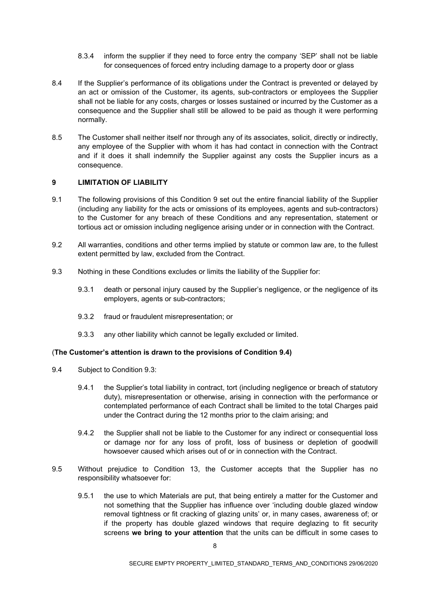- 8.3.4 inform the supplier if they need to force entry the company 'SEP' shall not be liable for consequences of forced entry including damage to a property door or glass
- 8.4 If the Supplier's performance of its obligations under the Contract is prevented or delayed by an act or omission of the Customer, its agents, sub-contractors or employees the Supplier shall not be liable for any costs, charges or losses sustained or incurred by the Customer as a consequence and the Supplier shall still be allowed to be paid as though it were performing normally.
- 8.5 The Customer shall neither itself nor through any of its associates, solicit, directly or indirectly, any employee of the Supplier with whom it has had contact in connection with the Contract and if it does it shall indemnify the Supplier against any costs the Supplier incurs as a consequence.

### **9 LIMITATION OF LIABILITY**

- 9.1 The following provisions of this Condition 9 set out the entire financial liability of the Supplier (including any liability for the acts or omissions of its employees, agents and sub-contractors) to the Customer for any breach of these Conditions and any representation, statement or tortious act or omission including negligence arising under or in connection with the Contract.
- 9.2 All warranties, conditions and other terms implied by statute or common law are, to the fullest extent permitted by law, excluded from the Contract.
- 9.3 Nothing in these Conditions excludes or limits the liability of the Supplier for:
	- 9.3.1 death or personal injury caused by the Supplier's negligence, or the negligence of its employers, agents or sub-contractors;
	- 9.3.2 fraud or fraudulent misrepresentation; or
	- 9.3.3 any other liability which cannot be legally excluded or limited.

#### (**The Customer's attention is drawn to the provisions of Condition 9.4)**

- 9.4 Subject to Condition 9.3:
	- 9.4.1 the Supplier's total liability in contract, tort (including negligence or breach of statutory duty), misrepresentation or otherwise, arising in connection with the performance or contemplated performance of each Contract shall be limited to the total Charges paid under the Contract during the 12 months prior to the claim arising; and
	- 9.4.2 the Supplier shall not be liable to the Customer for any indirect or consequential loss or damage nor for any loss of profit, loss of business or depletion of goodwill howsoever caused which arises out of or in connection with the Contract.
- 9.5 Without prejudice to Condition 13, the Customer accepts that the Supplier has no responsibility whatsoever for:
	- 9.5.1 the use to which Materials are put, that being entirely a matter for the Customer and not something that the Supplier has influence over 'including double glazed window removal tightness or fit cracking of glazing units' or, in many cases, awareness of; or if the property has double glazed windows that require deglazing to fit security screens **we bring to your attention** that the units can be difficult in some cases to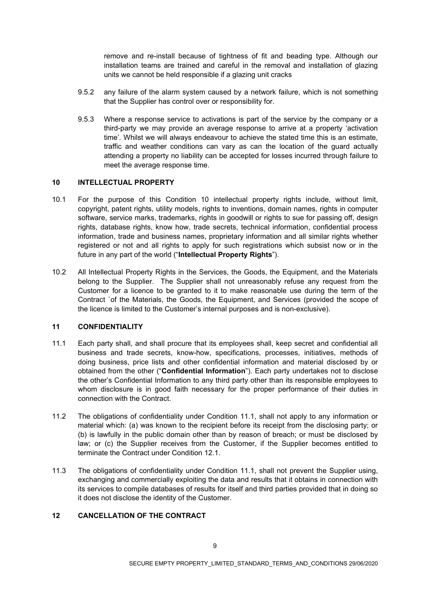remove and re-install because of tightness of fit and beading type. Although our installation teams are trained and careful in the removal and installation of glazing units we cannot be held responsible if a glazing unit cracks

- 9.5.2 any failure of the alarm system caused by a network failure, which is not something that the Supplier has control over or responsibility for.
- 9.5.3 Where a response service to activations is part of the service by the company or a third-party we may provide an average response to arrive at a property 'activation time'. Whilst we will always endeavour to achieve the stated time this is an estimate, traffic and weather conditions can vary as can the location of the guard actually attending a property no liability can be accepted for losses incurred through failure to meet the average response time.

### **10 INTELLECTUAL PROPERTY**

- 10.1 For the purpose of this Condition 10 intellectual property rights include, without limit, copyright, patent rights, utility models, rights to inventions, domain names, rights in computer software, service marks, trademarks, rights in goodwill or rights to sue for passing off, design rights, database rights, know how, trade secrets, technical information, confidential process information, trade and business names, proprietary information and all similar rights whether registered or not and all rights to apply for such registrations which subsist now or in the future in any part of the world ("**Intellectual Property Rights**").
- 10.2 All Intellectual Property Rights in the Services, the Goods, the Equipment, and the Materials belong to the Supplier. The Supplier shall not unreasonably refuse any request from the Customer for a licence to be granted to it to make reasonable use during the term of the Contract `of the Materials, the Goods, the Equipment, and Services (provided the scope of the licence is limited to the Customer's internal purposes and is non-exclusive).

## **11 CONFIDENTIALITY**

- 11.1 Each party shall, and shall procure that its employees shall, keep secret and confidential all business and trade secrets, know-how, specifications, processes, initiatives, methods of doing business, price lists and other confidential information and material disclosed by or obtained from the other ("**Confidential Information**"). Each party undertakes not to disclose the other's Confidential Information to any third party other than its responsible employees to whom disclosure is in good faith necessary for the proper performance of their duties in connection with the Contract.
- 11.2 The obligations of confidentiality under Condition 11.1, shall not apply to any information or material which: (a) was known to the recipient before its receipt from the disclosing party; or (b) is lawfully in the public domain other than by reason of breach; or must be disclosed by law; or (c) the Supplier receives from the Customer, if the Supplier becomes entitled to terminate the Contract under Condition 12.1.
- 11.3 The obligations of confidentiality under Condition 11.1, shall not prevent the Supplier using, exchanging and commercially exploiting the data and results that it obtains in connection with its services to compile databases of results for itself and third parties provided that in doing so it does not disclose the identity of the Customer.

## **12 CANCELLATION OF THE CONTRACT**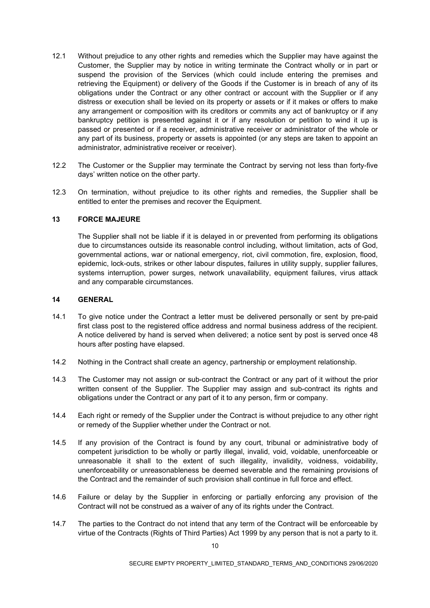- 12.1 Without prejudice to any other rights and remedies which the Supplier may have against the Customer, the Supplier may by notice in writing terminate the Contract wholly or in part or suspend the provision of the Services (which could include entering the premises and retrieving the Equipment) or delivery of the Goods if the Customer is in breach of any of its obligations under the Contract or any other contract or account with the Supplier or if any distress or execution shall be levied on its property or assets or if it makes or offers to make any arrangement or composition with its creditors or commits any act of bankruptcy or if any bankruptcy petition is presented against it or if any resolution or petition to wind it up is passed or presented or if a receiver, administrative receiver or administrator of the whole or any part of its business, property or assets is appointed (or any steps are taken to appoint an administrator, administrative receiver or receiver).
- 12.2 The Customer or the Supplier may terminate the Contract by serving not less than forty-five days' written notice on the other party.
- 12.3 On termination, without prejudice to its other rights and remedies, the Supplier shall be entitled to enter the premises and recover the Equipment.

### **13 FORCE MAJEURE**

The Supplier shall not be liable if it is delayed in or prevented from performing its obligations due to circumstances outside its reasonable control including, without limitation, acts of God, governmental actions, war or national emergency, riot, civil commotion, fire, explosion, flood, epidemic, lock-outs, strikes or other labour disputes, failures in utility supply, supplier failures, systems interruption, power surges, network unavailability, equipment failures, virus attack and any comparable circumstances.

### **14 GENERAL**

- 14.1 To give notice under the Contract a letter must be delivered personally or sent by pre-paid first class post to the registered office address and normal business address of the recipient. A notice delivered by hand is served when delivered; a notice sent by post is served once 48 hours after posting have elapsed.
- 14.2 Nothing in the Contract shall create an agency, partnership or employment relationship.
- 14.3 The Customer may not assign or sub-contract the Contract or any part of it without the prior written consent of the Supplier. The Supplier may assign and sub-contract its rights and obligations under the Contract or any part of it to any person, firm or company.
- 14.4 Each right or remedy of the Supplier under the Contract is without prejudice to any other right or remedy of the Supplier whether under the Contract or not.
- 14.5 If any provision of the Contract is found by any court, tribunal or administrative body of competent jurisdiction to be wholly or partly illegal, invalid, void, voidable, unenforceable or unreasonable it shall to the extent of such illegality, invalidity, voidness, voidability, unenforceability or unreasonableness be deemed severable and the remaining provisions of the Contract and the remainder of such provision shall continue in full force and effect.
- 14.6 Failure or delay by the Supplier in enforcing or partially enforcing any provision of the Contract will not be construed as a waiver of any of its rights under the Contract.
- 14.7 The parties to the Contract do not intend that any term of the Contract will be enforceable by virtue of the Contracts (Rights of Third Parties) Act 1999 by any person that is not a party to it.